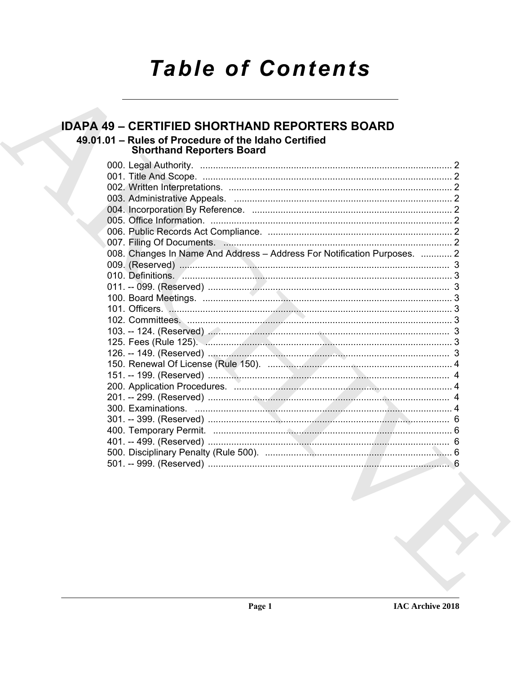# **Table of Contents**

#### **IDAPA 49 - CERTIFIED SHORTHAND REPORTERS BOARD** 49.01.01 - Rules of Procedure of the Idaho Certified **Shorthand Reporters Board** 008. Changes In Name And Address - Address For Notification Purposes. ............ 2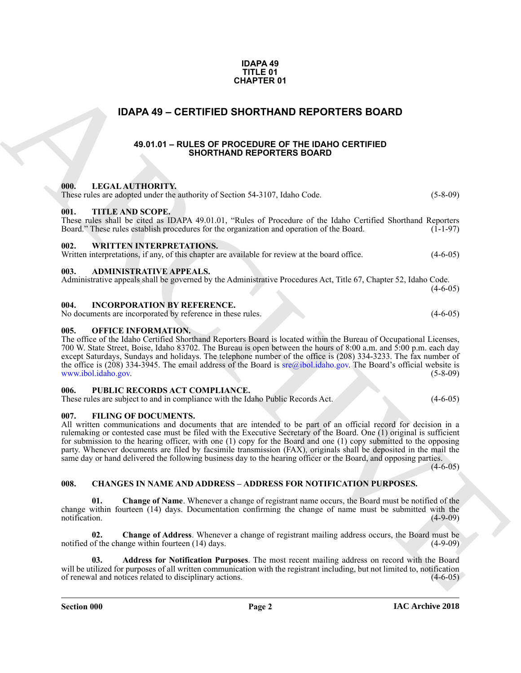#### **IDAPA 49 TITLE 01 CHAPTER 01**

### <span id="page-1-0"></span>**IDAPA 49 – CERTIFIED SHORTHAND REPORTERS BOARD**

#### **49.01.01 – RULES OF PROCEDURE OF THE IDAHO CERTIFIED SHORTHAND REPORTERS BOARD**

#### <span id="page-1-19"></span><span id="page-1-18"></span><span id="page-1-15"></span><span id="page-1-4"></span><span id="page-1-3"></span><span id="page-1-2"></span><span id="page-1-1"></span>**000. LEGAL AUTHORITY.**

**CHAPTER 01**<br> **CHAPTER D SHORTHAND REPORTERS BOARD**<br>
49.01.01 – RULES OF PROGERIMS OF REVIAIN OCERVITERS BOARD<br>
49.01.01 – RULES OF PROGERIMS OF DEVICATION CHAPTERS COMPUTERS (3.449)<br>
THE CHAPTER CHAPTER CHAPTER (1.149)<br> These rules are adopted under the authority of Section 54-3107, Idaho Code. (5-8-09) **001. TITLE AND SCOPE.** These rules shall be cited as IDAPA 49.01.01, "Rules of Procedure of the Idaho Certified Shorthand Reporters Board." These rules establish procedures for the organization and operation of the Board.  $(1-1-97)$ **002. WRITTEN INTERPRETATIONS.** Written interpretations, if any, of this chapter are available for review at the board office.  $(4-6-05)$ **003. ADMINISTRATIVE APPEALS.** Administrative appeals shall be governed by the Administrative Procedures Act, Title 67, Chapter 52, Idaho Code.  $(4-6-05)$ **004. INCORPORATION BY REFERENCE.** No documents are incorporated by reference in these rules. (4-6-05) **005. OFFICE INFORMATION.** The office of the Idaho Certified Shorthand Reporters Board is located within the Bureau of Occupational Licenses,

<span id="page-1-16"></span><span id="page-1-14"></span><span id="page-1-11"></span><span id="page-1-7"></span><span id="page-1-6"></span><span id="page-1-5"></span>700 W. State Street, Boise, Idaho 83702. The Bureau is open between the hours of 8:00 a.m. and 5:00 p.m. each day except Saturdays, Sundays and holidays. The telephone number of the office is (208) 334-3233. The fax number of the office is (208) 334-3945. The email address of the Board is  $\text{area}$ ; idaho.gov. The Board's official website is www.ibol.idaho.gov. (5-8-09)

#### <span id="page-1-17"></span><span id="page-1-8"></span>**006. PUBLIC RECORDS ACT COMPLIANCE.**

These rules are subject to and in compliance with the Idaho Public Records Act. (4-6-05)

#### <span id="page-1-13"></span><span id="page-1-9"></span>**007. FILING OF DOCUMENTS.**

All written communications and documents that are intended to be part of an official record for decision in a rulemaking or contested case must be filed with the Executive Secretary of the Board. One (1) original is sufficient for submission to the hearing officer, with one (1) copy for the Board and one (1) copy submitted to the opposing party. Whenever documents are filed by facsimile transmission (FAX), originals shall be deposited in the mail the same day or hand delivered the following business day to the hearing officer or the Board, and opposing parties. (4-6-05)

### <span id="page-1-12"></span><span id="page-1-10"></span>**008. CHANGES IN NAME AND ADDRESS – ADDRESS FOR NOTIFICATION PURPOSES.**

**01. Change of Name**. Whenever a change of registrant name occurs, the Board must be notified of the change within fourteen (14) days. Documentation confirming the change of name must be submitted with the notification. (4-9-09) notification. (4-9-09)

**02. Change of Address**. Whenever a change of registrant mailing address occurs, the Board must be notified of the change within fourteen (14) days. (4-9-09)

**03. Address for Notification Purposes**. The most recent mailing address on record with the Board will be utilized for purposes of all written communication with the registrant including, but not limited to, notification of renewal and notices related to disciplinary actions. (4-6-05)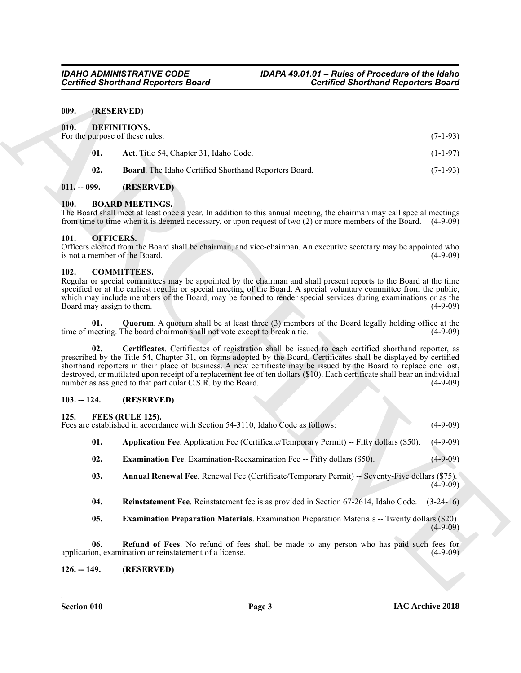#### <span id="page-2-14"></span><span id="page-2-13"></span><span id="page-2-1"></span><span id="page-2-0"></span>**009. (RESERVED)**

|                                       | <b>Certified Shorthand Reporters Board</b>                                                          | <b>Certified Shorthand Reporters Board</b>                                                                                                                                                                                                                                                                                                                                                                                                                                    |             |
|---------------------------------------|-----------------------------------------------------------------------------------------------------|-------------------------------------------------------------------------------------------------------------------------------------------------------------------------------------------------------------------------------------------------------------------------------------------------------------------------------------------------------------------------------------------------------------------------------------------------------------------------------|-------------|
| 009.                                  | (RESERVED)                                                                                          |                                                                                                                                                                                                                                                                                                                                                                                                                                                                               |             |
| 010.                                  | DEFINITIONS.<br>For the purpose of these rules:                                                     |                                                                                                                                                                                                                                                                                                                                                                                                                                                                               | $(7-1-93)$  |
| 01.                                   | Act. Title 54, Chapter 31, Idaho Code.                                                              |                                                                                                                                                                                                                                                                                                                                                                                                                                                                               | $(1-1-97)$  |
| 02.                                   | Board. The Idaho Certified Shorthand Reporters Board.                                               |                                                                                                                                                                                                                                                                                                                                                                                                                                                                               | $(7-1-93)$  |
| $011. - 099.$                         | (RESERVED)                                                                                          |                                                                                                                                                                                                                                                                                                                                                                                                                                                                               |             |
| 100.                                  | <b>BOARD MEETINGS.</b>                                                                              | The Board shall meet at least once a year. In addition to this annual meeting, the chairman may call special meetings<br>from time to time when it is deemed necessary, or upon request of two (2) or more members of the Board. (4-9-09)                                                                                                                                                                                                                                     |             |
| 101.<br>is not a member of the Board. | <b>OFFICERS.</b>                                                                                    | Officers elected from the Board shall be chairman, and vice-chairman. An executive secretary may be appointed who                                                                                                                                                                                                                                                                                                                                                             | $(4-9-09)$  |
| 102.<br>Board may assign to them.     | <b>COMMITTEES.</b>                                                                                  | Regular or special committees may be appointed by the chairman and shall present reports to the Board at the time<br>specified or at the earliest regular or special meeting of the Board. A special voluntary committee from the public,<br>which may include members of the Board, may be formed to render special services during examinations or as the                                                                                                                   | $(4-9-09)$  |
| 01.                                   | time of meeting. The board chairman shall not vote except to break a tie.                           | <b>Quorum.</b> A quorum shall be at least three (3) members of the Board legally holding office at the                                                                                                                                                                                                                                                                                                                                                                        | $(4-9-09)$  |
| 02.                                   | number as assigned to that particular C.S.R. by the Board.                                          | Certificates. Certificates of registration shall be issued to each certified shorthand reporter, as<br>prescribed by the Title 54, Chapter 31, on forms adopted by the Board. Certificates shall be displayed by certified<br>shorthand reporters in their place of business. A new certificate may be issued by the Board to replace one lost,<br>destroyed, or mutilated upon receipt of a replacement fee of ten dollars (\$10). Each certificate shall bear an individual | $(4-9-09)$  |
| $103. - 124.$                         | (RESERVED)                                                                                          |                                                                                                                                                                                                                                                                                                                                                                                                                                                                               |             |
| 125.                                  | FEES (RULE 125).<br>Fees are established in accordance with Section 54-3110, Idaho Code as follows: |                                                                                                                                                                                                                                                                                                                                                                                                                                                                               | $(4-9-09)$  |
| 01.                                   |                                                                                                     | Application Fee. Application Fee (Certificate/Temporary Permit) -- Fifty dollars (\$50).                                                                                                                                                                                                                                                                                                                                                                                      | $(4-9-09)$  |
| 02.                                   | <b>Examination Fee.</b> Examination-Reexamination Fee -- Fifty dollars (\$50).                      |                                                                                                                                                                                                                                                                                                                                                                                                                                                                               | $(4-9-09)$  |
| 03.                                   |                                                                                                     | Annual Renewal Fee. Renewal Fee (Certificate/Temporary Permit) -- Seventy-Five dollars (\$75).                                                                                                                                                                                                                                                                                                                                                                                | $(4-9-09)$  |
| 04.                                   |                                                                                                     | Reinstatement Fee. Reinstatement fee is as provided in Section 67-2614, Idaho Code.                                                                                                                                                                                                                                                                                                                                                                                           | $(3-24-16)$ |
| 05.                                   |                                                                                                     | <b>Examination Preparation Materials.</b> Examination Preparation Materials -- Twenty dollars (\$20)                                                                                                                                                                                                                                                                                                                                                                          | $(4-9-09)$  |
| 06.                                   | application, examination or reinstatement of a license.                                             | Refund of Fees. No refund of fees shall be made to any person who has paid such fees for                                                                                                                                                                                                                                                                                                                                                                                      | $(4-9-09)$  |
|                                       |                                                                                                     |                                                                                                                                                                                                                                                                                                                                                                                                                                                                               |             |

#### <span id="page-2-15"></span><span id="page-2-2"></span>**011. -- 099. (RESERVED)**

#### <span id="page-2-9"></span><span id="page-2-3"></span>**100. BOARD MEETINGS.**

#### <span id="page-2-23"></span><span id="page-2-4"></span>**101. OFFICERS.**

#### <span id="page-2-12"></span><span id="page-2-10"></span><span id="page-2-5"></span>**102. COMMITTEES.**

#### <span id="page-2-11"></span><span id="page-2-6"></span>**103. -- 124. (RESERVED)**

#### <span id="page-2-16"></span><span id="page-2-7"></span>**125. FEES (RULE 125).**

- <span id="page-2-18"></span>**01. Application Fee**. Application Fee (Certificate/Temporary Permit) -- Fifty dollars (\$50). (4-9-09)
- <span id="page-2-19"></span>**02. Examination Fee**. Examination-Reexamination Fee -- Fifty dollars (\$50). (4-9-09)
- <span id="page-2-17"></span>**03. Annual Renewal Fee**. Renewal Fee (Certificate/Temporary Permit) -- Seventy-Five dollars (\$75).  $(4-9-09)$
- <span id="page-2-22"></span>**04. Reinstatement Fee**. Reinstatement fee is as provided in Section 67-2614, Idaho Code. (3-24-16)
- <span id="page-2-21"></span><span id="page-2-20"></span><span id="page-2-8"></span>**05. Examination Preparation Materials**. Examination Preparation Materials -- Twenty dollars (\$20)  $(4-9-09)$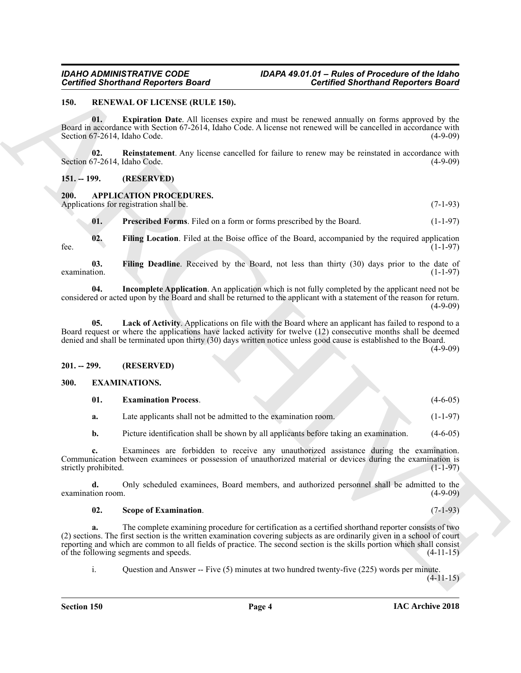#### <span id="page-3-14"></span><span id="page-3-0"></span>**150. RENEWAL OF LICENSE (RULE 150).**

<span id="page-3-15"></span>**01. Expiration Date**. All licenses expire and must be renewed annually on forms approved by the Board in accordance with Section 67-2614, Idaho Code. A license not renewed will be cancelled in accordance with Section 67-2614, Idaho Code. (4-9-09)

<span id="page-3-16"></span>**02. Reinstatement**. Any license cancelled for failure to renew may be reinstated in accordance with Section 67-2614, Idaho Code. (4-9-09)

<span id="page-3-1"></span>**151. -- 199. (RESERVED)**

### <span id="page-3-5"></span><span id="page-3-2"></span>**200. APPLICATION PROCEDURES.**

Applications for registration shall be. (7-1-93)

<span id="page-3-10"></span><span id="page-3-7"></span><span id="page-3-6"></span>**01.** Prescribed Forms. Filed on a form or forms prescribed by the Board. (1-1-97)

**02. Filing Location**. Filed at the Boise office of the Board, accompanied by the required application fee. (1-1-97)

**03. Filing Deadline**. Received by the Board, not less than thirty (30) days prior to the date of  $\alpha$  examination. (1-1-97)

<span id="page-3-8"></span>**04. Incomplete Application**. An application which is not fully completed by the applicant need not be considered or acted upon by the Board and shall be returned to the applicant with a statement of the reason for return.  $(4-9-09)$ 

<span id="page-3-9"></span>**05. Lack of Activity**. Applications on file with the Board where an applicant has failed to respond to a Board request or where the applications have lacked activity for twelve (12) consecutive months shall be deemed denied and shall be terminated upon thirty (30) days written notice unless good cause is established to the Board.

(4-9-09)

#### <span id="page-3-3"></span>**201. -- 299. (RESERVED)**

#### <span id="page-3-4"></span>**300. EXAMINATIONS.**

<span id="page-3-12"></span><span id="page-3-11"></span>

| 01. | <b>Examination Process.</b> |  | $(4-6-05)$ |
|-----|-----------------------------|--|------------|
|     |                             |  |            |

| а. | Late applicants shall not be admitted to the examination room. | $(1-1-97)$ |
|----|----------------------------------------------------------------|------------|
|    |                                                                |            |

**b.** Picture identification shall be shown by all applicants before taking an examination. (4-6-05)

**c.** Examinees are forbidden to receive any unauthorized assistance during the examination. Communication between examinees or possession of unauthorized material or devices during the examination is strictly prohibited. (1-1-97)

**d.** Only scheduled examinees, Board members, and authorized personnel shall be admitted to the examination room. (4-9-09)

#### <span id="page-3-13"></span>**02. Scope of Examination**. (7-1-93)

Government Responses Reader Material Showthand Reporters Board<br>
19. MANNAM OF LEASE (WILLE 159).<br>
Besti all the Victoria Date All the Control of the terms of the state of the Control of the School of the School of the Sch **a.** The complete examining procedure for certification as a certified shorthand reporter consists of two (2) sections. The first section is the written examination covering subjects as are ordinarily given in a school of court reporting and which are common to all fields of practice. The second section is the skills portion which shall consist of the following segments and speeds. (4-11-15)

i. Question and Answer -- Five (5) minutes at two hundred twenty-five (225) words per minute.

 $(4-11-15)$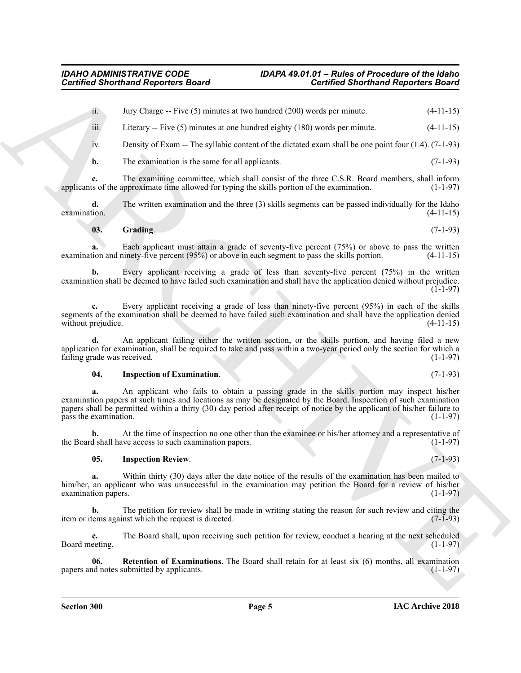ii. Jury Charge -- Five (5) minutes at two hundred (200) words per minute. (4-11-15)

iii. Literary -- Five  $(5)$  minutes at one hundred eighty  $(180)$  words per minute.  $(4-11-15)$ 

iv. Density of Exam -- The syllabic content of the dictated exam shall be one point four (1.4). (7-1-93)

**b.** The examination is the same for all applicants. (7-1-93)

**c.** The examining committee, which shall consist of the three C.S.R. Board members, shall inform ts of the approximate time allowed for typing the skills portion of the examination. (1-1-97) applicants of the approximate time allowed for typing the skills portion of the examination.

**d.** The written examination and the three (3) skills segments can be passed individually for the Idaho  $\alpha$  examination.  $(4-11-15)$ 

#### <span id="page-4-0"></span>**03. Grading**. (7-1-93)

**a.** Each applicant must attain a grade of seventy-five percent (75%) or above to pass the written examination and ninety-five percent (95%) or above in each segment to pass the skills portion. (4-11-15)

**b.** Every applicant receiving a grade of less than seventy-five percent (75%) in the written examination shall be deemed to have failed such examination and shall have the application denied without prejudice.  $(1-1-97)$ 

**c.** Every applicant receiving a grade of less than ninety-five percent (95%) in each of the skills segments of the examination shall be deemed to have failed such examination and shall have the application denied without prejudice. (4-11-15)

**d.** An applicant failing either the written section, or the skills portion, and having filed a new application for examination, shall be required to take and pass within a two-year period only the section for which a failing grade was received. (1-1-97)

#### <span id="page-4-1"></span>**04. Inspection of Examination**. (7-1-93)

**Contributed Shorthand Region for Board<br>
Archives Theory and Region for Board<br>
A. May Change – The CSI minutes at two knowled (200) were because the contribute of the UL-131<br>
B. Lineary – Five C) functions is two knowledg a.** An applicant who fails to obtain a passing grade in the skills portion may inspect his/her examination papers at such times and locations as may be designated by the Board. Inspection of such examination papers shall be permitted within a thirty (30) day period after receipt of notice by the applicant of his/her failure to pass the examination. (1-1-97)

**b.** At the time of inspection no one other than the examinee or his/her attorney and a representative of the Board shall have access to such examination papers. (1-1-97)

#### <span id="page-4-2"></span>**05. Inspection Review**. (7-1-93)

**a.** Within thirty (30) days after the date notice of the results of the examination has been mailed to him/her, an applicant who was unsuccessful in the examination may petition the Board for a review of his/her examination papers.  $(1-1-97)$ 

**b.** The petition for review shall be made in writing stating the reason for such review and citing the tems against which the request is directed. (7-1-93) item or items against which the request is directed.

**c.** The Board shall, upon receiving such petition for review, conduct a hearing at the next scheduled Board meeting. (1-1-97)

<span id="page-4-3"></span>**06. Retention of Examinations**. The Board shall retain for at least six (6) months, all examination papers and notes submitted by applicants. (1-1-97)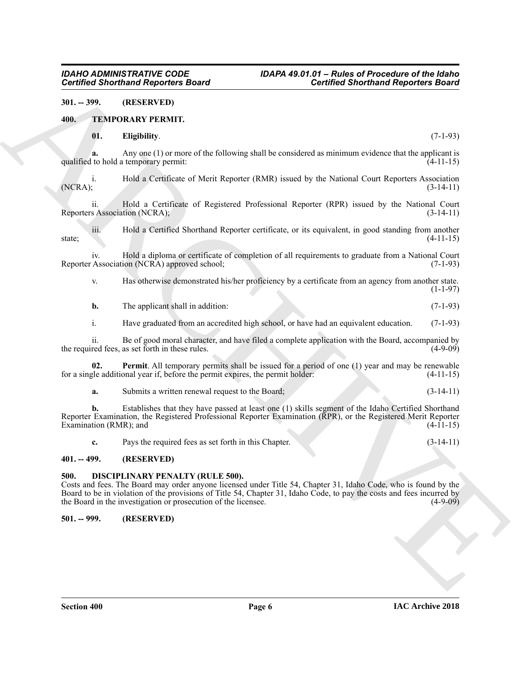#### <span id="page-5-0"></span>**301. -- 399. (RESERVED)**

#### <span id="page-5-1"></span>**400. TEMPORARY PERMIT.**

#### <span id="page-5-7"></span><span id="page-5-6"></span>**01. Eligibility**. (7-1-93)

**a.** Any one (1) or more of the following shall be considered as minimum evidence that the applicant is to hold a temporary permit: (4-11-15) qualified to hold a temporary permit:

i. Hold a Certificate of Merit Reporter (RMR) issued by the National Court Reporters Association (NCRA); (3-14-11) (NCRA); (3-14-11)

ii. Hold a Certificate of Registered Professional Reporter (RPR) issued by the National Court Reporters Association (NCRA); (3-14-11)

iii. Hold a Certified Shorthand Reporter certificate, or its equivalent, in good standing from another state;  $(4-11-15)$ 

iv. Hold a diploma or certificate of completion of all requirements to graduate from a National Court Reporter Association (NCRA) approved school;

v. Has otherwise demonstrated his/her proficiency by a certificate from an agency from another state.  $(1-1-97)$ 

**b.** The applicant shall in addition: (7-1-93)

i. Have graduated from an accredited high school, or have had an equivalent education. (7-1-93)

ii. Be of good moral character, and have filed a complete application with the Board, accompanied by the required fees, as set forth in these rules. (4-9-09)

**02. Permit**. All temporary permits shall be issued for a period of one (1) year and may be renewable for a single additional year if, before the permit expires, the permit holder: (4-11-15)

<span id="page-5-8"></span>**a.** Submits a written renewal request to the Board; (3-14-11)

Government Responsive Board<br>
MI. Explained Shorthand Responses Board<br>
MI. Explained Shorthand Responses Board<br>
MI. Explained Shorthand Responses and the contribution of the state of the state of the state of the state of<br> **b.** Establishes that they have passed at least one (1) skills segment of the Idaho Certified Shorthand Reporter Examination, the Registered Professional Reporter Examination (RPR), or the Registered Merit Reporter Examination (RMR); and (4-11-15)

<span id="page-5-5"></span>**c.** Pays the required fees as set forth in this Chapter. (3-14-11)

#### <span id="page-5-2"></span>**401. -- 499. (RESERVED)**

#### <span id="page-5-3"></span>**500. DISCIPLINARY PENALTY (RULE 500).**

Costs and fees. The Board may order anyone licensed under Title 54, Chapter 31, Idaho Code, who is found by the Board to be in violation of the provisions of Title 54, Chapter 31, Idaho Code, to pay the costs and fees incurred by the Board in the investigation or prosecution of the licensee. (4-9-09)

#### <span id="page-5-4"></span>**501. -- 999. (RESERVED)**